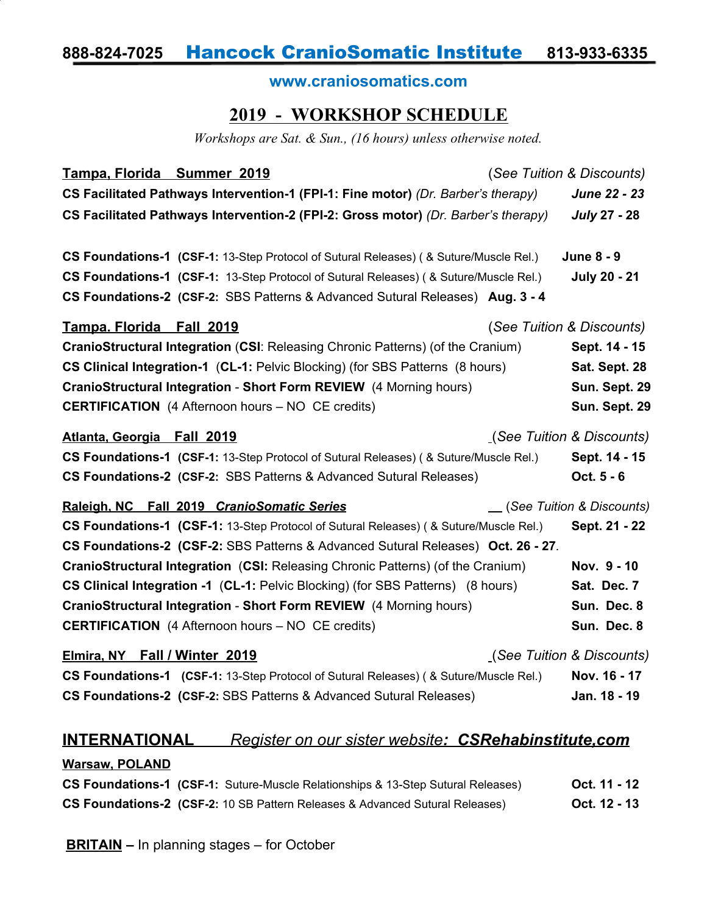# **888-824-7025** Hancock CranioSomatic Institute **813-933-6335**

### **www.craniosomatics.com**

### **2019 - WORKSHOP SCHEDULE**

*Workshops are Sat. & Sun., (16 hours) unless otherwise noted.*

| Tampa, Florida Summer 2019<br>(See Tuition & Discounts)<br>CS Facilitated Pathways Intervention-1 (FPI-1: Fine motor) (Dr. Barber's therapy)<br>CS Facilitated Pathways Intervention-2 (FPI-2: Gross motor) (Dr. Barber's therapy)                                                                                                                                                                                                                                                 | June 22 - 23<br><b>July 27 - 28</b>                                                      |
|------------------------------------------------------------------------------------------------------------------------------------------------------------------------------------------------------------------------------------------------------------------------------------------------------------------------------------------------------------------------------------------------------------------------------------------------------------------------------------|------------------------------------------------------------------------------------------|
| CS Foundations-1 (CSF-1: 13-Step Protocol of Sutural Releases) (& Suture/Muscle Rel.)<br>CS Foundations-1 (CSF-1: 13-Step Protocol of Sutural Releases) ( & Suture/Muscle Rel.)<br>CS Foundations-2 (CSF-2: SBS Patterns & Advanced Sutural Releases) Aug. 3 - 4                                                                                                                                                                                                                   | June 8 - 9<br><b>July 20 - 21</b>                                                        |
| Tampa. Florida Fall 2019<br>(See Tuition & Discounts)<br>CranioStructural Integration (CSI: Releasing Chronic Patterns) (of the Cranium)<br>CS Clinical Integration-1 (CL-1: Pelvic Blocking) (for SBS Patterns (8 hours)<br><b>CranioStructural Integration - Short Form REVIEW (4 Morning hours)</b><br><b>CERTIFICATION</b> (4 Afternoon hours – NO CE credits)                                                                                                                 | Sept. 14 - 15<br>Sat. Sept. 28<br>Sun. Sept. 29<br>Sun. Sept. 29                         |
| Atlanta, Georgia Fall 2019<br>CS Foundations-1 (CSF-1: 13-Step Protocol of Sutural Releases) ( & Suture/Muscle Rel.)<br>CS Foundations-2 (CSF-2: SBS Patterns & Advanced Sutural Releases)                                                                                                                                                                                                                                                                                         | (See Tuition & Discounts)<br>Sept. 14 - 15<br>Oct. 5 - 6                                 |
| Raleigh, NC Fall 2019 CranioSomatic Series<br>CS Foundations-1 (CSF-1: 13-Step Protocol of Sutural Releases) ( & Suture/Muscle Rel.)<br>CS Foundations-2 (CSF-2: SBS Patterns & Advanced Sutural Releases) Oct. 26 - 27.<br>CranioStructural Integration (CSI: Releasing Chronic Patterns) (of the Cranium)<br><b>CS Clinical Integration -1 (CL-1: Pelvic Blocking) (for SBS Patterns) (8 hours)</b><br><b>CranioStructural Integration - Short Form REVIEW</b> (4 Morning hours) | _(See Tuition & Discounts)<br>Sept. 21 - 22<br>Nov. 9 - 10<br>Sat. Dec. 7<br>Sun. Dec. 8 |
| <b>CERTIFICATION</b> (4 Afternoon hours – NO CE credits)                                                                                                                                                                                                                                                                                                                                                                                                                           | Sun. Dec. 8                                                                              |
| Elmira, NY Fall / Winter 2019<br>CS Foundations-1 (CSF-1: 13-Step Protocol of Sutural Releases) (& Suture/Muscle Rel.)<br>CS Foundations-2 (CSF-2: SBS Patterns & Advanced Sutural Releases)<br>Peaister on our sister website: CSPobabinstitute com<br>INTEDNATIONAL                                                                                                                                                                                                              | (See Tuition & Discounts)<br>Nov. 16 - 17<br>Jan. 18 - 19                                |

## **INTERNATIONAL** *Register on our sister website: CSRehabinstitute,com*

### **Warsaw, POLAND**

| <b>CS Foundations-1 (CSF-1:</b> Suture-Muscle Relationships & 13-Step Sutural Releases) | Oct. 11 - 12 |
|-----------------------------------------------------------------------------------------|--------------|
| CS Foundations-2 (CSF-2: 10 SB Pattern Releases & Advanced Sutural Releases)            | Oct. 12 - 13 |

**BRITAIN –** In planning stages – for October